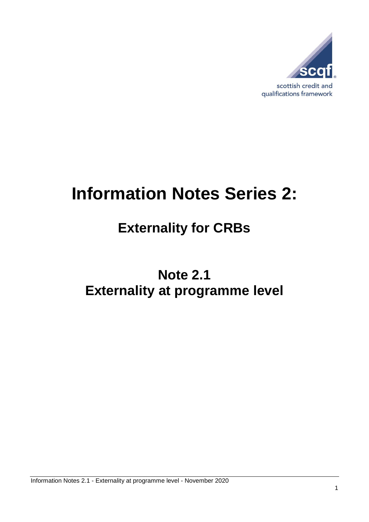

# **Information Notes Series 2:**

## **Externality for CRBs**

## **Note 2.1 Externality at programme level**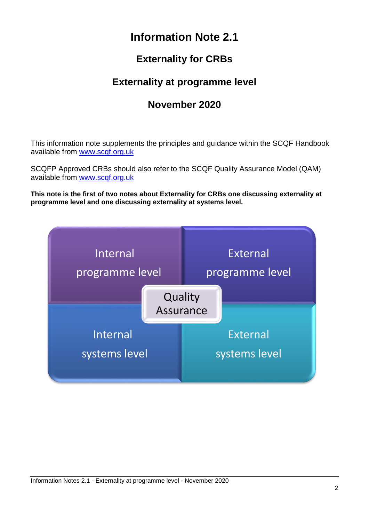## **Information Note 2.1**

### **Externality for CRBs**

### **Externality at programme level**

### **November 2020**

This information note supplements the principles and guidance within the SCQF Handbook available from [www.scqf.org.uk](http://www.scqf.org.uk/)

SCQFP Approved CRBs should also refer to the SCQF Quality Assurance Model (QAM) available from [www.scqf.org.uk](http://www.scqf.org.uk/)

**This note is the first of two notes about Externality for CRBs one discussing externality at programme level and one discussing externality at systems level.**

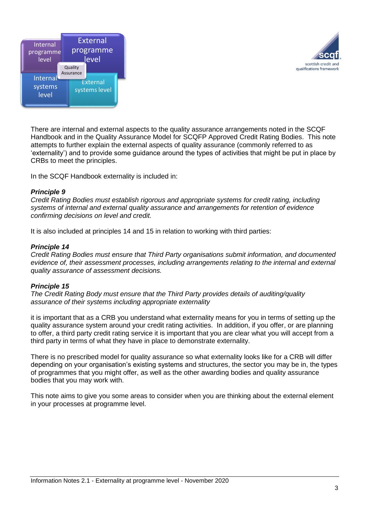



There are internal and external aspects to the quality assurance arrangements noted in the SCQF Handbook and in the Quality Assurance Model for SCQFP Approved Credit Rating Bodies. This note attempts to further explain the external aspects of quality assurance (commonly referred to as 'externality') and to provide some guidance around the types of activities that might be put in place by CRBs to meet the principles.

In the SCQF Handbook externality is included in:

#### *Principle 9*

*Credit Rating Bodies must establish rigorous and appropriate systems for credit rating, including systems of internal and external quality assurance and arrangements for retention of evidence confirming decisions on level and credit.*

It is also included at principles 14 and 15 in relation to working with third parties:

#### *Principle 14*

*Credit Rating Bodies must ensure that Third Party organisations submit information, and documented evidence of, their assessment processes, including arrangements relating to the internal and external quality assurance of assessment decisions.*

#### *Principle 15*

*The Credit Rating Body must ensure that the Third Party provides details of auditing/quality assurance of their systems including appropriate externality*

it is important that as a CRB you understand what externality means for you in terms of setting up the quality assurance system around your credit rating activities. In addition, if you offer, or are planning to offer, a third party credit rating service it is important that you are clear what you will accept from a third party in terms of what they have in place to demonstrate externality.

There is no prescribed model for quality assurance so what externality looks like for a CRB will differ depending on your organisation's existing systems and structures, the sector you may be in, the types of programmes that you might offer, as well as the other awarding bodies and quality assurance bodies that you may work with.

This note aims to give you some areas to consider when you are thinking about the external element in your processes at programme level.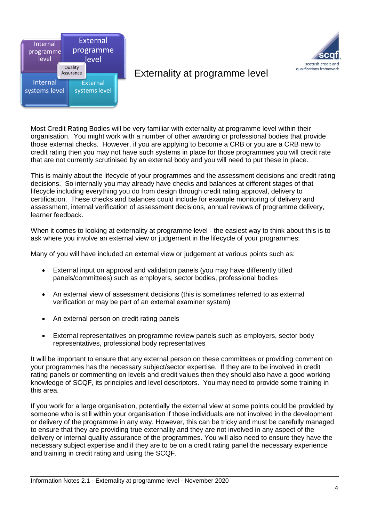



#### Externality at programme level

Most Credit Rating Bodies will be very familiar with externality at programme level within their organisation. You might work with a number of other awarding or professional bodies that provide those external checks. However, if you are applying to become a CRB or you are a CRB new to credit rating then you may not have such systems in place for those programmes you will credit rate that are not currently scrutinised by an external body and you will need to put these in place.

This is mainly about the lifecycle of your programmes and the assessment decisions and credit rating decisions. So internally you may already have checks and balances at different stages of that lifecycle including everything you do from design through credit rating approval, delivery to certification. These checks and balances could include for example monitoring of delivery and assessment, internal verification of assessment decisions, annual reviews of programme delivery, learner feedback.

When it comes to looking at externality at programme level - the easiest way to think about this is to ask where you involve an external view or judgement in the lifecycle of your programmes:

Many of you will have included an external view or judgement at various points such as:

- External input on approval and validation panels (you may have differently titled panels/committees) such as employers, sector bodies, professional bodies
- An external view of assessment decisions (this is sometimes referred to as external verification or may be part of an external examiner system)
- An external person on credit rating panels
- External representatives on programme review panels such as employers, sector body representatives, professional body representatives

It will be important to ensure that any external person on these committees or providing comment on your programmes has the necessary subject/sector expertise. If they are to be involved in credit rating panels or commenting on levels and credit values then they should also have a good working knowledge of SCQF, its principles and level descriptors. You may need to provide some training in this area.

If you work for a large organisation, potentially the external view at some points could be provided by someone who is still within your organisation if those individuals are not involved in the development or delivery of the programme in any way. However, this can be tricky and must be carefully managed to ensure that they are providing true externality and they are not involved in any aspect of the delivery or internal quality assurance of the programmes. You will also need to ensure they have the necessary subject expertise and if they are to be on a credit rating panel the necessary experience and training in credit rating and using the SCQF.